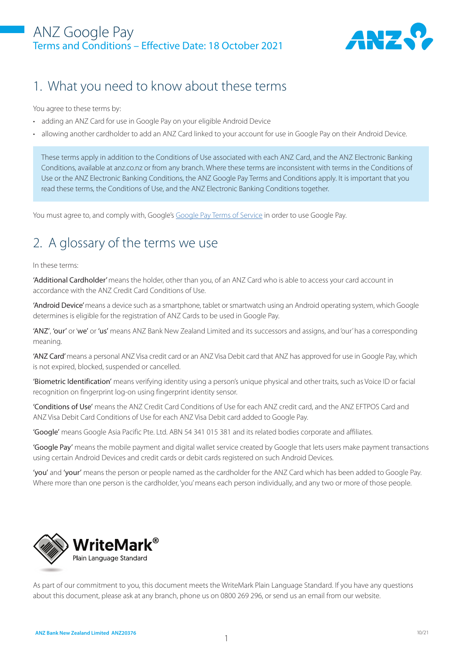#### ANZ Google Pay Terms and Conditions – Effective Date: 18 October 2021



#### 1. What you need to know about these terms

You agree to these terms by:

- adding an ANZ Card for use in Google Pay on your eligible Android Device
- allowing another cardholder to add an ANZ Card linked to your account for use in Google Pay on their Android Device.

These terms apply in addition to the Conditions of Use associated with each ANZ Card, and the ANZ Electronic Banking Conditions, available at anz.co.nz or from any branch. Where these terms are inconsistent with terms in the Conditions of Use or the ANZ Electronic Banking Conditions, the ANZ Google Pay Terms and Conditions apply. It is important that you read these terms, the Conditions of Use, and the ANZ Electronic Banking Conditions together.

You must agree to, and comply with, Google's Google Pay Terms of Service in order to use Google Pay.

# 2. A glossary of the terms we use

#### In these terms:

'Additional Cardholder' means the holder, other than you, of an ANZ Card who is able to access your card account in accordance with the ANZ Credit Card Conditions of Use.

'Android Device' means a device such as a smartphone, tablet or smartwatch using an Android operating system, which Google determines is eligible for the registration of ANZ Cards to be used in Google Pay.

'ANZ', 'our' or 'we' or 'us' means ANZ Bank New Zealand Limited and its successors and assigns, and 'our' has a corresponding meaning.

'ANZ Card' means a personal ANZ Visa credit card or an ANZ Visa Debit card that ANZ has approved for use in Google Pay, which is not expired, blocked, suspended or cancelled.

'Biometric Identification' means verifying identity using a person's unique physical and other traits, such as Voice ID or facial recognition on fingerprint log-on using fingerprint identity sensor.

'Conditions of Use' means the ANZ Credit Card Conditions of Use for each ANZ credit card, and the ANZ EFTPOS Card and ANZ Visa Debit Card Conditions of Use for each ANZ Visa Debit card added to Google Pay.

'Google' means Google Asia Pacific Pte. Ltd. ABN 54 341 015 381 and its related bodies corporate and affiliates.

'Google Pay' means the mobile payment and digital wallet service created by Google that lets users make payment transactions using certain Android Devices and credit cards or debit cards registered on such Android Devices.

'you' and 'your' means the person or people named as the cardholder for the ANZ Card which has been added to Google Pay. Where more than one person is the cardholder, 'you' means each person individually, and any two or more of those people.



As part of our commitment to you, this document meets the WriteMark Plain Language Standard. If you have any questions about this document, please ask at any branch, phone us on 0800 269 296, or send us an email from our website.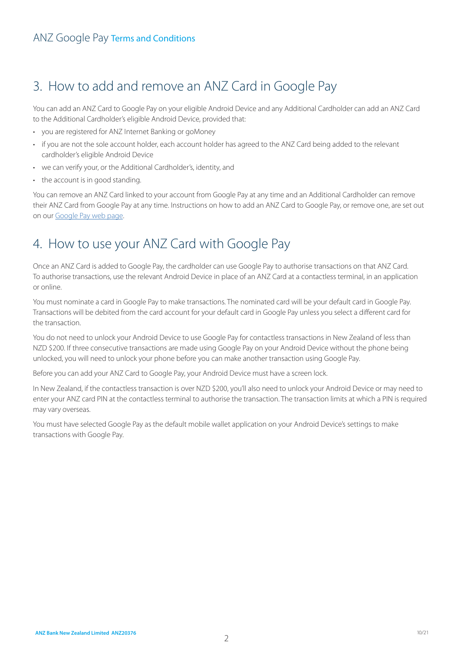# 3. How to add and remove an ANZ Card in Google Pay

You can add an ANZ Card to Google Pay on your eligible Android Device and any Additional Cardholder can add an ANZ Card to the Additional Cardholder's eligible Android Device, provided that:

- you are registered for ANZ Internet Banking or goMoney
- if you are not the sole account holder, each account holder has agreed to the ANZ Card being added to the relevant cardholder's eligible Android Device
- we can verify your, or the Additional Cardholder's, identity, and
- the account is in good standing.

You can remove an ANZ Card linked to your account from Google Pay at any time and an Additional Cardholder can remove their ANZ Card from Google Pay at any time. Instructions on how to add an ANZ Card to Google Pay, or remove one, are set out on our Google Pay web page.

### 4. How to use your ANZ Card with Google Pay

Once an ANZ Card is added to Google Pay, the cardholder can use Google Pay to authorise transactions on that ANZ Card. To authorise transactions, use the relevant Android Device in place of an ANZ Card at a contactless terminal, in an application or online.

You must nominate a card in Google Pay to make transactions. The nominated card will be your default card in Google Pay. Transactions will be debited from the card account for your default card in Google Pay unless you select a different card for the transaction.

You do not need to unlock your Android Device to use Google Pay for contactless transactions in New Zealand of less than NZD \$200. If three consecutive transactions are made using Google Pay on your Android Device without the phone being unlocked, you will need to unlock your phone before you can make another transaction using Google Pay.

Before you can add your ANZ Card to Google Pay, your Android Device must have a screen lock.

In New Zealand, if the contactless transaction is over NZD \$200, you'll also need to unlock your Android Device or may need to enter your ANZ card PIN at the contactless terminal to authorise the transaction. The transaction limits at which a PIN is required may vary overseas.

You must have selected Google Pay as the default mobile wallet application on your Android Device's settings to make transactions with Google Pay.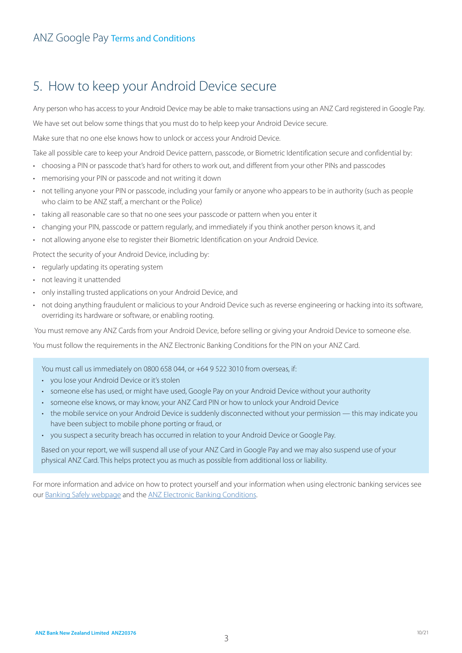### 5. How to keep your Android Device secure

Any person who has access to your Android Device may be able to make transactions using an ANZ Card registered in Google Pay.

We have set out below some things that you must do to help keep your Android Device secure.

Make sure that no one else knows how to unlock or access your Android Device.

Take all possible care to keep your Android Device pattern, passcode, or Biometric Identification secure and confidential by:

- choosing a PIN or passcode that's hard for others to work out, and different from your other PINs and passcodes
- memorising your PIN or passcode and not writing it down
- not telling anyone your PIN or passcode, including your family or anyone who appears to be in authority (such as people who claim to be ANZ staff, a merchant or the Police)
- taking all reasonable care so that no one sees your passcode or pattern when you enter it
- changing your PIN, passcode or pattern regularly, and immediately if you think another person knows it, and
- not allowing anyone else to register their Biometric Identification on your Android Device.

Protect the security of your Android Device, including by:

- regularly updating its operating system
- not leaving it unattended
- only installing trusted applications on your Android Device, and
- not doing anything fraudulent or malicious to your Android Device such as reverse engineering or hacking into its software, overriding its hardware or software, or enabling rooting.

You must remove any ANZ Cards from your Android Device, before selling or giving your Android Device to someone else.

You must follow the requirements in the ANZ Electronic Banking Conditions for the PIN on your ANZ Card.

You must call us immediately on 0800 658 044, or +64 9 522 3010 from overseas, if:

- you lose your Android Device or it's stolen
- someone else has used, or might have used, Google Pay on your Android Device without your authority
- someone else knows, or may know, your ANZ Card PIN or how to unlock your Android Device
- the mobile service on your Android Device is suddenly disconnected without your permission this may indicate you have been subject to mobile phone porting or fraud, or
- you suspect a security breach has occurred in relation to your Android Device or Google Pay.

Based on your report, we will suspend all use of your ANZ Card in Google Pay and we may also suspend use of your physical ANZ Card. This helps protect you as much as possible from additional loss or liability.

For more information and advice on how to protect yourself and your information when using electronic banking services see our Banking Safely webpage and the ANZ Electronic Banking Conditions.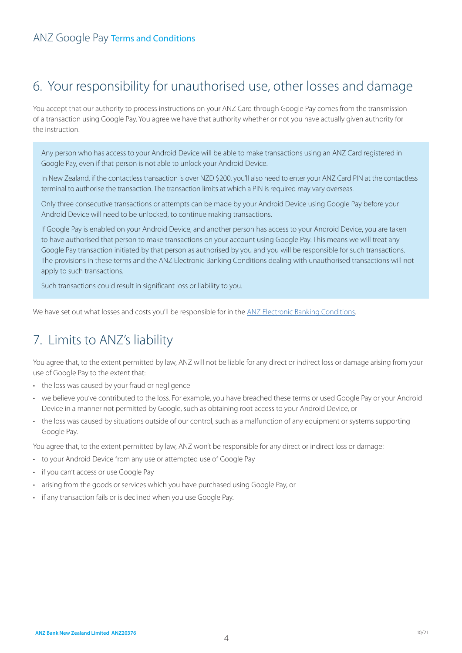# 6. Your responsibility for unauthorised use, other losses and damage

You accept that our authority to process instructions on your ANZ Card through Google Pay comes from the transmission of a transaction using Google Pay. You agree we have that authority whether or not you have actually given authority for the instruction.

Any person who has access to your Android Device will be able to make transactions using an ANZ Card registered in Google Pay, even if that person is not able to unlock your Android Device.

In New Zealand, if the contactless transaction is over NZD \$200, you'll also need to enter your ANZ Card PIN at the contactless terminal to authorise the transaction. The transaction limits at which a PIN is required may vary overseas.

Only three consecutive transactions or attempts can be made by your Android Device using Google Pay before your Android Device will need to be unlocked, to continue making transactions.

If Google Pay is enabled on your Android Device, and another person has access to your Android Device, you are taken to have authorised that person to make transactions on your account using Google Pay. This means we will treat any Google Pay transaction initiated by that person as authorised by you and you will be responsible for such transactions. The provisions in these terms and the ANZ Electronic Banking Conditions dealing with unauthorised transactions will not apply to such transactions.

Such transactions could result in significant loss or liability to you.

We have set out what losses and costs you'll be responsible for in the ANZ Electronic Banking Conditions.

### 7. Limits to ANZ's liability

You agree that, to the extent permitted by law, ANZ will not be liable for any direct or indirect loss or damage arising from your use of Google Pay to the extent that:

- the loss was caused by your fraud or negligence
- we believe you've contributed to the loss. For example, you have breached these terms or used Google Pay or your Android Device in a manner not permitted by Google, such as obtaining root access to your Android Device, or
- the loss was caused by situations outside of our control, such as a malfunction of any equipment or systems supporting Google Pay.

You agree that, to the extent permitted by law, ANZ won't be responsible for any direct or indirect loss or damage:

- to your Android Device from any use or attempted use of Google Pay
- if you can't access or use Google Pay
- arising from the goods or services which you have purchased using Google Pay, or
- if any transaction fails or is declined when you use Google Pay.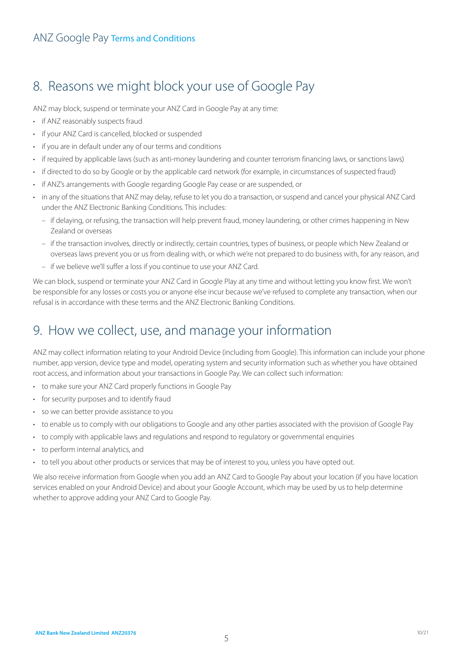# 8. Reasons we might block your use of Google Pay

ANZ may block, suspend or terminate your ANZ Card in Google Pay at any time:

- if ANZ reasonably suspects fraud
- if your ANZ Card is cancelled, blocked or suspended
- if you are in default under any of our terms and conditions
- if required by applicable laws (such as anti-money laundering and counter terrorism financing laws, or sanctions laws)
- if directed to do so by Google or by the applicable card network (for example, in circumstances of suspected fraud)
- if ANZ's arrangements with Google regarding Google Pay cease or are suspended, or
- in any of the situations that ANZ may delay, refuse to let you do a transaction, or suspend and cancel your physical ANZ Card under the ANZ Electronic Banking Conditions. This includes:
	- if delaying, or refusing, the transaction will help prevent fraud, money laundering, or other crimes happening in New Zealand or overseas
	- if the transaction involves, directly or indirectly, certain countries, types of business, or people which New Zealand or overseas laws prevent you or us from dealing with, or which we're not prepared to do business with, for any reason, and
	- if we believe we'll suffer a loss if you continue to use your ANZ Card.

We can block, suspend or terminate your ANZ Card in Google Play at any time and without letting you know first. We won't be responsible for any losses or costs you or anyone else incur because we've refused to complete any transaction, when our refusal is in accordance with these terms and the ANZ Electronic Banking Conditions.

# 9. How we collect, use, and manage your information

ANZ may collect information relating to your Android Device (including from Google). This information can include your phone number, app version, device type and model, operating system and security information such as whether you have obtained root access, and information about your transactions in Google Pay. We can collect such information:

- to make sure your ANZ Card properly functions in Google Pay
- for security purposes and to identify fraud
- so we can better provide assistance to you
- to enable us to comply with our obligations to Google and any other parties associated with the provision of Google Pay
- to comply with applicable laws and regulations and respond to regulatory or governmental enquiries
- to perform internal analytics, and
- to tell you about other products or services that may be of interest to you, unless you have opted out.

We also receive information from Google when you add an ANZ Card to Google Pay about your location (if you have location services enabled on your Android Device) and about your Google Account, which may be used by us to help determine whether to approve adding your ANZ Card to Google Pay.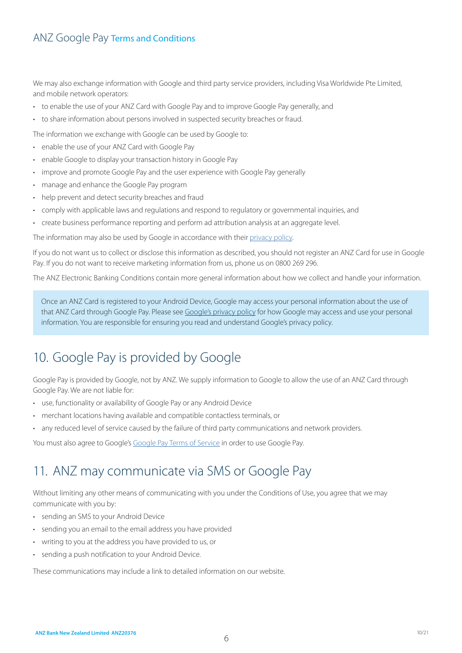#### ANZ Google Pay Terms and Conditions

We may also exchange information with Google and third party service providers, including Visa Worldwide Pte Limited, and mobile network operators:

- to enable the use of your ANZ Card with Google Pay and to improve Google Pay generally, and
- to share information about persons involved in suspected security breaches or fraud.

The information we exchange with Google can be used by Google to:

- enable the use of your ANZ Card with Google Pay
- enable Google to display your transaction history in Google Pay
- improve and promote Google Pay and the user experience with Google Pay generally
- manage and enhance the Google Pay program
- help prevent and detect security breaches and fraud
- comply with applicable laws and regulations and respond to regulatory or governmental inquiries, and
- create business performance reporting and perform ad attribution analysis at an aggregate level.

The information may also be used by Google in accordance with their privacy policy.

If you do not want us to collect or disclose this information as described, you should not register an ANZ Card for use in Google Pay. If you do not want to receive marketing information from us, phone us on 0800 269 296.

The ANZ Electronic Banking Conditions contain more general information about how we collect and handle your information.

Once an ANZ Card is registered to your Android Device, Google may access your personal information about the use of that ANZ Card through Google Pay. Please see Google's privacy policy for how Google may access and use your personal information. You are responsible for ensuring you read and understand Google's privacy policy.

# 10. Google Pay is provided by Google

Google Pay is provided by Google, not by ANZ. We supply information to Google to allow the use of an ANZ Card through Google Pay. We are not liable for:

- use, functionality or availability of Google Pay or any Android Device
- merchant locations having available and compatible contactless terminals, or
- any reduced level of service caused by the failure of third party communications and network providers.

You must also agree to Google's Google Pay Terms of Service in order to use Google Pay.

#### 11. ANZ may communicate via SMS or Google Pay

Without limiting any other means of communicating with you under the Conditions of Use, you agree that we may communicate with you by:

- sending an SMS to your Android Device
- sending you an email to the email address you have provided
- writing to you at the address you have provided to us, or
- sending a push notification to your Android Device.

These communications may include a link to detailed information on our website.